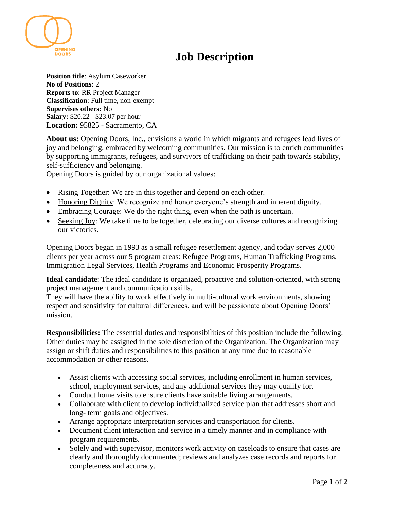

**Position title**: Asylum Caseworker **No of Positions:** 2 **Reports to**: RR Project Manager **Classification**: Full time, non-exempt **Supervises others:** No **Salary:** \$20.22 - \$23.07 per hour **Location:** 95825 - Sacramento, CA

**DOORS** 

**About us:** Opening Doors, Inc., envisions a world in which migrants and refugees lead lives of joy and belonging, embraced by welcoming communities. Our mission is to enrich communities by supporting immigrants, refugees, and survivors of trafficking on their path towards stability, self-sufficiency and belonging.

Opening Doors is guided by our organizational values:

- Rising Together: We are in this together and depend on each other.
- Honoring Dignity: We recognize and honor everyone's strength and inherent dignity.
- Embracing Courage: We do the right thing, even when the path is uncertain.
- Seeking Joy: We take time to be together, celebrating our diverse cultures and recognizing our victories.

Opening Doors began in 1993 as a small refugee resettlement agency, and today serves 2,000 clients per year across our 5 program areas: Refugee Programs, Human Trafficking Programs, Immigration Legal Services, Health Programs and Economic Prosperity Programs.

**Ideal candidate**: The ideal candidate is organized, proactive and solution-oriented, with strong project management and communication skills.

They will have the ability to work effectively in multi-cultural work environments, showing respect and sensitivity for cultural differences, and will be passionate about Opening Doors' mission.

**Responsibilities:** The essential duties and responsibilities of this position include the following. Other duties may be assigned in the sole discretion of the Organization. The Organization may assign or shift duties and responsibilities to this position at any time due to reasonable accommodation or other reasons.

- Assist clients with accessing social services, including enrollment in human services, school, employment services, and any additional services they may qualify for.
- Conduct home visits to ensure clients have suitable living arrangements.
- Collaborate with client to develop individualized service plan that addresses short and long- term goals and objectives.
- Arrange appropriate interpretation services and transportation for clients.
- Document client interaction and service in a timely manner and in compliance with program requirements.
- Solely and with supervisor, monitors work activity on caseloads to ensure that cases are clearly and thoroughly documented; reviews and analyzes case records and reports for completeness and accuracy.